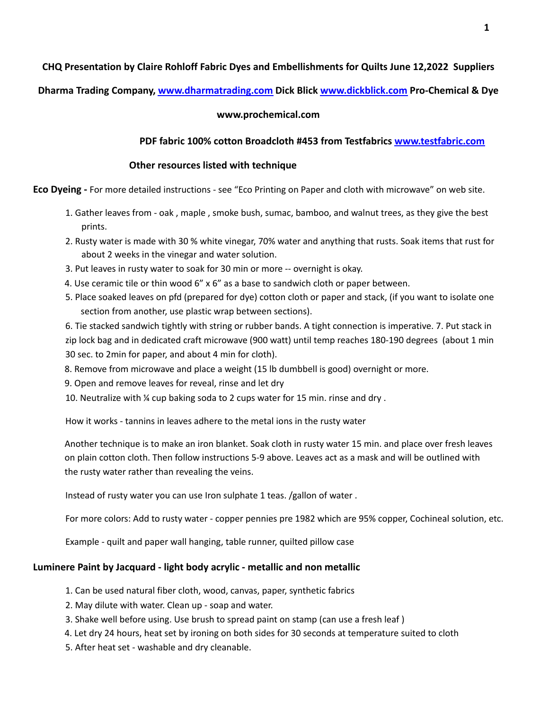## **CHQ Presentation by Claire Rohloff Fabric Dyes and Embellishments for Quilts June 12,2022 Suppliers**

**Dharma Trading Company, www.dharmatrading.com Dick Blick www.dickblick.com Pro-Chemical & Dye**

#### **www.prochemical.com**

#### **PDF fabric 100% cotton Broadcloth #453 from Testfabrics www.testfabric.com**

#### **Other resources listed with technique**

**Eco Dyeing -** For more detailed instructions - see "Eco Printing on Paper and cloth with microwave" on web site.

- 1. Gather leaves from oak , maple , smoke bush, sumac, bamboo, and walnut trees, as they give the best prints.
- 2. Rusty water is made with 30 % white vinegar, 70% water and anything that rusts. Soak items that rust for about 2 weeks in the vinegar and water solution.
- 3. Put leaves in rusty water to soak for 30 min or more -- overnight is okay.
- 4. Use ceramic tile or thin wood 6" x 6" as a base to sandwich cloth or paper between.
- 5. Place soaked leaves on pfd (prepared for dye) cotton cloth or paper and stack, (if you want to isolate one section from another, use plastic wrap between sections).

6. Tie stacked sandwich tightly with string or rubber bands. A tight connection is imperative. 7. Put stack in zip lock bag and in dedicated craft microwave (900 watt) until temp reaches 180-190 degrees (about 1 min 30 sec. to 2min for paper, and about 4 min for cloth).

- 8. Remove from microwave and place a weight (15 lb dumbbell is good) overnight or more.
- 9. Open and remove leaves for reveal, rinse and let dry
- 10. Neutralize with ¼ cup baking soda to 2 cups water for 15 min. rinse and dry .

How it works - tannins in leaves adhere to the metal ions in the rusty water

Another technique is to make an iron blanket. Soak cloth in rusty water 15 min. and place over fresh leaves on plain cotton cloth. Then follow instructions 5-9 above. Leaves act as a mask and will be outlined with the rusty water rather than revealing the veins.

Instead of rusty water you can use Iron sulphate 1 teas. /gallon of water .

For more colors: Add to rusty water - copper pennies pre 1982 which are 95% copper, Cochineal solution, etc.

Example - quilt and paper wall hanging, table runner, quilted pillow case

## **Luminere Paint by Jacquard - light body acrylic - metallic and non metallic**

- 1. Can be used natural fiber cloth, wood, canvas, paper, synthetic fabrics
- 2. May dilute with water. Clean up soap and water.
- 3. Shake well before using. Use brush to spread paint on stamp (can use a fresh leaf )
- 4. Let dry 24 hours, heat set by ironing on both sides for 30 seconds at temperature suited to cloth
- 5. After heat set washable and dry cleanable.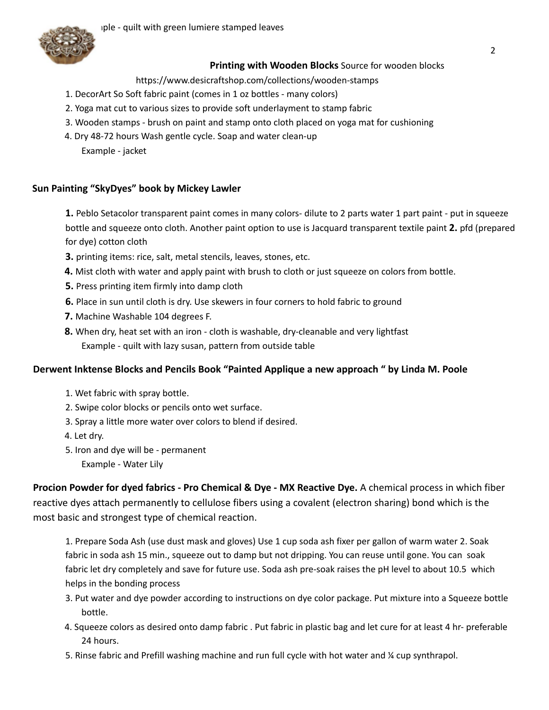

# **Printing with Wooden Blocks** Source for wooden blocks

https://www.desicraftshop.com/collections/wooden-stamps

- 1. DecorArt So Soft fabric paint (comes in 1 oz bottles many colors)
- 2. Yoga mat cut to various sizes to provide soft underlayment to stamp fabric
- 3. Wooden stamps brush on paint and stamp onto cloth placed on yoga mat for cushioning
- 4. Dry 48-72 hours Wash gentle cycle. Soap and water clean-up Example - jacket

## **Sun Painting "SkyDyes" book by Mickey Lawler**

**1.** Peblo Setacolor transparent paint comes in many colors- dilute to 2 parts water 1 part paint - put in squeeze bottle and squeeze onto cloth. Another paint option to use is Jacquard transparent textile paint **2.** pfd (prepared for dye) cotton cloth

- **3.** printing items: rice, salt, metal stencils, leaves, stones, etc.
- **4.** Mist cloth with water and apply paint with brush to cloth or just squeeze on colors from bottle.
- **5.** Press printing item firmly into damp cloth
- **6.** Place in sun until cloth is dry. Use skewers in four corners to hold fabric to ground
- **7.** Machine Washable 104 degrees F.
- **8.** When dry, heat set with an iron cloth is washable, dry-cleanable and very lightfast Example - quilt with lazy susan, pattern from outside table

## **Derwent Inktense Blocks and Pencils Book "Painted Applique a new approach " by Linda M. Poole**

- 1. Wet fabric with spray bottle.
- 2. Swipe color blocks or pencils onto wet surface.
- 3. Spray a little more water over colors to blend if desired.
- 4. Let dry.
- 5. Iron and dye will be permanent
	- Example Water Lily

**Procion Powder for dyed fabrics - Pro Chemical & Dye - MX Reactive Dye.** A chemical process in which fiber reactive dyes attach permanently to cellulose fibers using a covalent (electron sharing) bond which is the most basic and strongest type of chemical reaction.

1. Prepare Soda Ash (use dust mask and gloves) Use 1 cup soda ash fixer per gallon of warm water 2. Soak fabric in soda ash 15 min., squeeze out to damp but not dripping. You can reuse until gone. You can soak fabric let dry completely and save for future use. Soda ash pre-soak raises the pH level to about 10.5 which helps in the bonding process

- 3. Put water and dye powder according to instructions on dye color package. Put mixture into a Squeeze bottle bottle.
- 4. Squeeze colors as desired onto damp fabric . Put fabric in plastic bag and let cure for at least 4 hr- preferable 24 hours.
- 5. Rinse fabric and Prefill washing machine and run full cycle with hot water and ¼ cup synthrapol.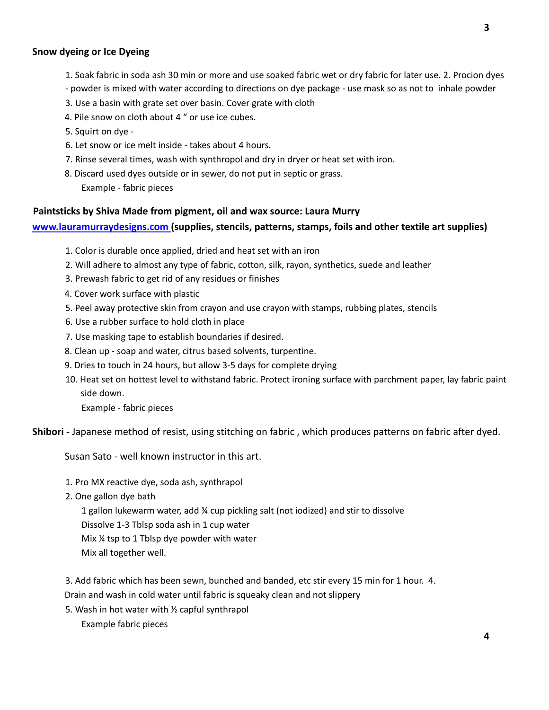#### **Snow dyeing or Ice Dyeing**

- 1. Soak fabric in soda ash 30 min or more and use soaked fabric wet or dry fabric for later use. 2. Procion dyes
- powder is mixed with water according to directions on dye package use mask so as not to inhale powder
- 3. Use a basin with grate set over basin. Cover grate with cloth
- 4. Pile snow on cloth about 4 " or use ice cubes.
- 5. Squirt on dye -
- 6. Let snow or ice melt inside takes about 4 hours.
- 7. Rinse several times, wash with synthropol and dry in dryer or heat set with iron.
- 8. Discard used dyes outside or in sewer, do not put in septic or grass.

Example - fabric pieces

# **Paintsticks by Shiva Made from pigment, oil and wax source: Laura Murry**

#### **www.lauramurraydesigns.com (supplies, stencils, patterns, stamps, foils and other textile art supplies)**

- 1. Color is durable once applied, dried and heat set with an iron
- 2. Will adhere to almost any type of fabric, cotton, silk, rayon, synthetics, suede and leather
- 3. Prewash fabric to get rid of any residues or finishes
- 4. Cover work surface with plastic
- 5. Peel away protective skin from crayon and use crayon with stamps, rubbing plates, stencils
- 6. Use a rubber surface to hold cloth in place
- 7. Use masking tape to establish boundaries if desired.
- 8. Clean up soap and water, citrus based solvents, turpentine.
- 9. Dries to touch in 24 hours, but allow 3-5 days for complete drying
- 10. Heat set on hottest level to withstand fabric. Protect ironing surface with parchment paper, lay fabric paint side down.

Example - fabric pieces

**Shibori -** Japanese method of resist, using stitching on fabric , which produces patterns on fabric after dyed.

Susan Sato - well known instructor in this art.

- 1. Pro MX reactive dye, soda ash, synthrapol
- 2. One gallon dye bath

1 gallon lukewarm water, add  $\frac{3}{4}$  cup pickling salt (not iodized) and stir to dissolve Dissolve 1-3 Tblsp soda ash in 1 cup water Mix ¼ tsp to 1 Tblsp dye powder with water Mix all together well.

3. Add fabric which has been sewn, bunched and banded, etc stir every 15 min for 1 hour. 4.

Drain and wash in cold water until fabric is squeaky clean and not slippery

5. Wash in hot water with ½ capful synthrapol Example fabric pieces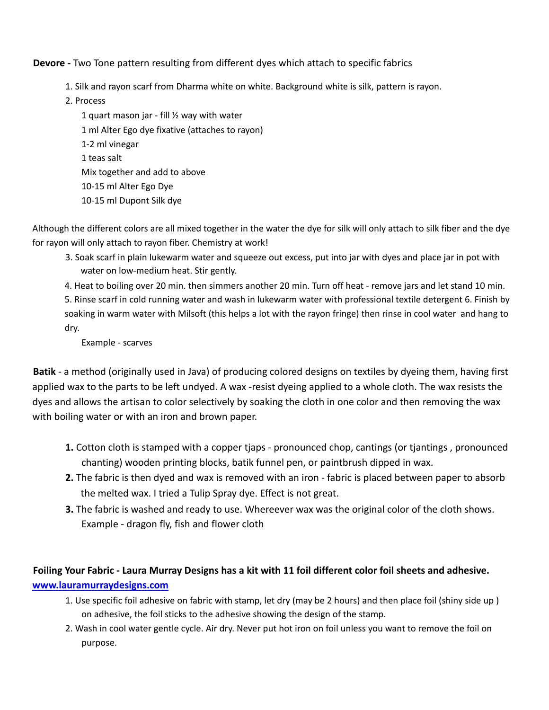**Devore -** Two Tone pattern resulting from different dyes which attach to specific fabrics

- 1. Silk and rayon scarf from Dharma white on white. Background white is silk, pattern is rayon.
- 2. Process

1 quart mason jar - fill  $\frac{1}{2}$  way with water 1 ml Alter Ego dye fixative (attaches to rayon) 1-2 ml vinegar 1 teas salt Mix together and add to above 10-15 ml Alter Ego Dye 10-15 ml Dupont Silk dye

Although the different colors are all mixed together in the water the dye for silk will only attach to silk fiber and the dye for rayon will only attach to rayon fiber. Chemistry at work!

3. Soak scarf in plain lukewarm water and squeeze out excess, put into jar with dyes and place jar in pot with water on low-medium heat. Stir gently.

4. Heat to boiling over 20 min. then simmers another 20 min. Turn off heat - remove jars and let stand 10 min. 5. Rinse scarf in cold running water and wash in lukewarm water with professional textile detergent 6. Finish by soaking in warm water with Milsoft (this helps a lot with the rayon fringe) then rinse in cool water and hang to dry.

Example - scarves

**Batik** - a method (originally used in Java) of producing colored designs on textiles by dyeing them, having first applied wax to the parts to be left undyed. A wax -resist dyeing applied to a whole cloth. The wax resists the dyes and allows the artisan to color selectively by soaking the cloth in one color and then removing the wax with boiling water or with an iron and brown paper.

- **1.** Cotton cloth is stamped with a copper tjaps pronounced chop, cantings (or tjantings , pronounced chanting) wooden printing blocks, batik funnel pen, or paintbrush dipped in wax.
- **2.** The fabric is then dyed and wax is removed with an iron fabric is placed between paper to absorb the melted wax. I tried a Tulip Spray dye. Effect is not great.
- **3.** The fabric is washed and ready to use. Whereever wax was the original color of the cloth shows. Example - dragon fly, fish and flower cloth

# **Foiling Your Fabric - Laura Murray Designs has a kit with 11 foil different color foil sheets and adhesive. www.lauramurraydesigns.com**

- 1. Use specific foil adhesive on fabric with stamp, let dry (may be 2 hours) and then place foil (shiny side up ) on adhesive, the foil sticks to the adhesive showing the design of the stamp.
- 2. Wash in cool water gentle cycle. Air dry. Never put hot iron on foil unless you want to remove the foil on purpose.